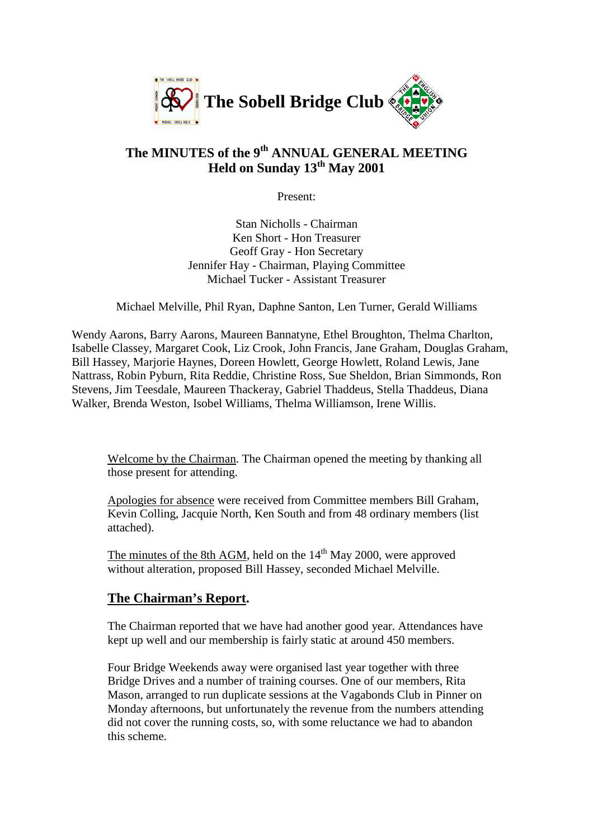

# **The MINUTES of the 9th ANNUAL GENERAL MEETING Held on Sunday 13th May 2001**

Present:

Stan Nicholls - Chairman Ken Short - Hon Treasurer Geoff Gray - Hon Secretary Jennifer Hay - Chairman, Playing Committee Michael Tucker - Assistant Treasurer

Michael Melville, Phil Ryan, Daphne Santon, Len Turner, Gerald Williams

Wendy Aarons, Barry Aarons, Maureen Bannatyne, Ethel Broughton, Thelma Charlton, Isabelle Classey, Margaret Cook, Liz Crook, John Francis, Jane Graham, Douglas Graham, Bill Hassey, Marjorie Haynes, Doreen Howlett, George Howlett, Roland Lewis, Jane Nattrass, Robin Pyburn, Rita Reddie, Christine Ross, Sue Sheldon, Brian Simmonds, Ron Stevens, Jim Teesdale, Maureen Thackeray, Gabriel Thaddeus, Stella Thaddeus, Diana Walker, Brenda Weston, Isobel Williams, Thelma Williamson, Irene Willis.

Welcome by the Chairman. The Chairman opened the meeting by thanking all those present for attending.

Apologies for absence were received from Committee members Bill Graham, Kevin Colling, Jacquie North, Ken South and from 48 ordinary members (list attached).

The minutes of the 8th AGM, held on the  $14<sup>th</sup>$  May 2000, were approved without alteration, proposed Bill Hassey, seconded Michael Melville.

# **The Chairman's Report.**

The Chairman reported that we have had another good year. Attendances have kept up well and our membership is fairly static at around 450 members.

Four Bridge Weekends away were organised last year together with three Bridge Drives and a number of training courses. One of our members, Rita Mason, arranged to run duplicate sessions at the Vagabonds Club in Pinner on Monday afternoons, but unfortunately the revenue from the numbers attending did not cover the running costs, so, with some reluctance we had to abandon this scheme.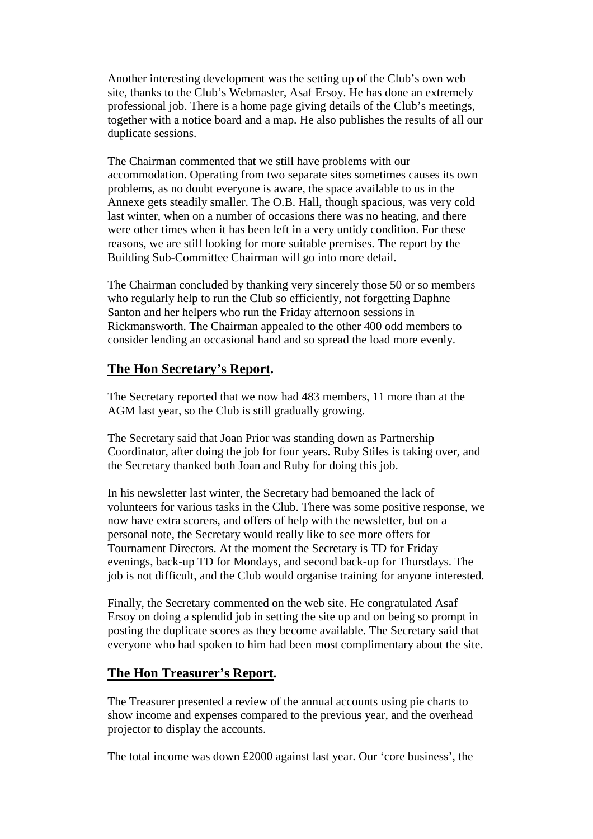Another interesting development was the setting up of the Club's own web site, thanks to the Club's Webmaster, Asaf Ersoy. He has done an extremely professional job. There is a home page giving details of the Club's meetings, together with a notice board and a map. He also publishes the results of all our duplicate sessions.

The Chairman commented that we still have problems with our accommodation. Operating from two separate sites sometimes causes its own problems, as no doubt everyone is aware, the space available to us in the Annexe gets steadily smaller. The O.B. Hall, though spacious, was very cold last winter, when on a number of occasions there was no heating, and there were other times when it has been left in a very untidy condition. For these reasons, we are still looking for more suitable premises. The report by the Building Sub-Committee Chairman will go into more detail.

The Chairman concluded by thanking very sincerely those 50 or so members who regularly help to run the Club so efficiently, not forgetting Daphne Santon and her helpers who run the Friday afternoon sessions in Rickmansworth. The Chairman appealed to the other 400 odd members to consider lending an occasional hand and so spread the load more evenly.

# **The Hon Secretary's Report.**

The Secretary reported that we now had 483 members, 11 more than at the AGM last year, so the Club is still gradually growing.

The Secretary said that Joan Prior was standing down as Partnership Coordinator, after doing the job for four years. Ruby Stiles is taking over, and the Secretary thanked both Joan and Ruby for doing this job.

In his newsletter last winter, the Secretary had bemoaned the lack of volunteers for various tasks in the Club. There was some positive response, we now have extra scorers, and offers of help with the newsletter, but on a personal note, the Secretary would really like to see more offers for Tournament Directors. At the moment the Secretary is TD for Friday evenings, back-up TD for Mondays, and second back-up for Thursdays. The job is not difficult, and the Club would organise training for anyone interested.

Finally, the Secretary commented on the web site. He congratulated Asaf Ersoy on doing a splendid job in setting the site up and on being so prompt in posting the duplicate scores as they become available. The Secretary said that everyone who had spoken to him had been most complimentary about the site.

### **The Hon Treasurer's Report.**

The Treasurer presented a review of the annual accounts using pie charts to show income and expenses compared to the previous year, and the overhead projector to display the accounts.

The total income was down £2000 against last year. Our 'core business', the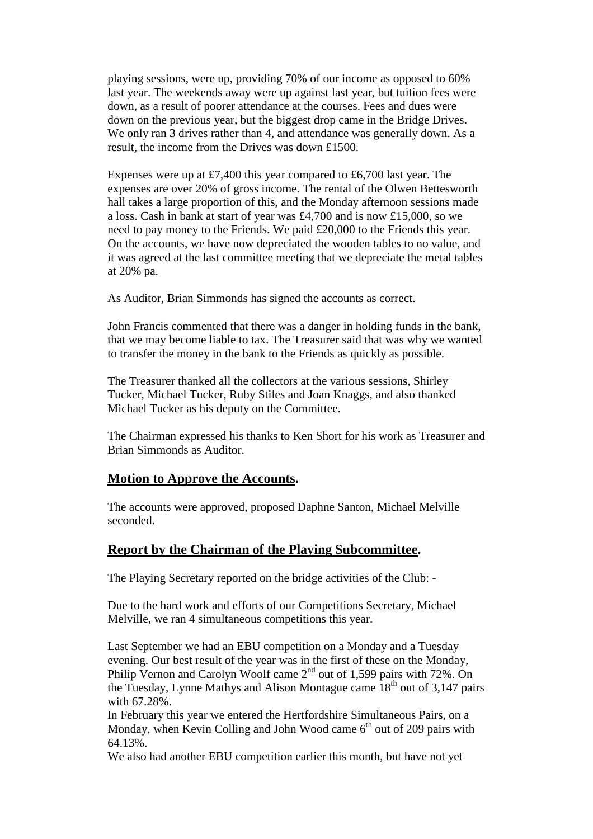playing sessions, were up, providing 70% of our income as opposed to 60% last year. The weekends away were up against last year, but tuition fees were down, as a result of poorer attendance at the courses. Fees and dues were down on the previous year, but the biggest drop came in the Bridge Drives. We only ran 3 drives rather than 4, and attendance was generally down. As a result, the income from the Drives was down £1500.

Expenses were up at £7,400 this year compared to £6,700 last year. The expenses are over 20% of gross income. The rental of the Olwen Bettesworth hall takes a large proportion of this, and the Monday afternoon sessions made a loss. Cash in bank at start of year was £4,700 and is now £15,000, so we need to pay money to the Friends. We paid £20,000 to the Friends this year. On the accounts, we have now depreciated the wooden tables to no value, and it was agreed at the last committee meeting that we depreciate the metal tables at 20% pa.

As Auditor, Brian Simmonds has signed the accounts as correct.

John Francis commented that there was a danger in holding funds in the bank, that we may become liable to tax. The Treasurer said that was why we wanted to transfer the money in the bank to the Friends as quickly as possible.

The Treasurer thanked all the collectors at the various sessions, Shirley Tucker, Michael Tucker, Ruby Stiles and Joan Knaggs, and also thanked Michael Tucker as his deputy on the Committee.

The Chairman expressed his thanks to Ken Short for his work as Treasurer and Brian Simmonds as Auditor.

### **Motion to Approve the Accounts.**

The accounts were approved, proposed Daphne Santon, Michael Melville seconded.

#### **Report by the Chairman of the Playing Subcommittee.**

The Playing Secretary reported on the bridge activities of the Club: -

Due to the hard work and efforts of our Competitions Secretary, Michael Melville, we ran 4 simultaneous competitions this year.

Last September we had an EBU competition on a Monday and a Tuesday evening. Our best result of the year was in the first of these on the Monday, Philip Vernon and Carolyn Woolf came  $2<sup>nd</sup>$  out of 1,599 pairs with 72%. On the Tuesday, Lynne Mathys and Alison Montague came  $18<sup>th</sup>$  out of 3,147 pairs with 67.28%.

In February this year we entered the Hertfordshire Simultaneous Pairs, on a Monday, when Kevin Colling and John Wood came  $6<sup>th</sup>$  out of 209 pairs with 64.13%.

We also had another EBU competition earlier this month, but have not yet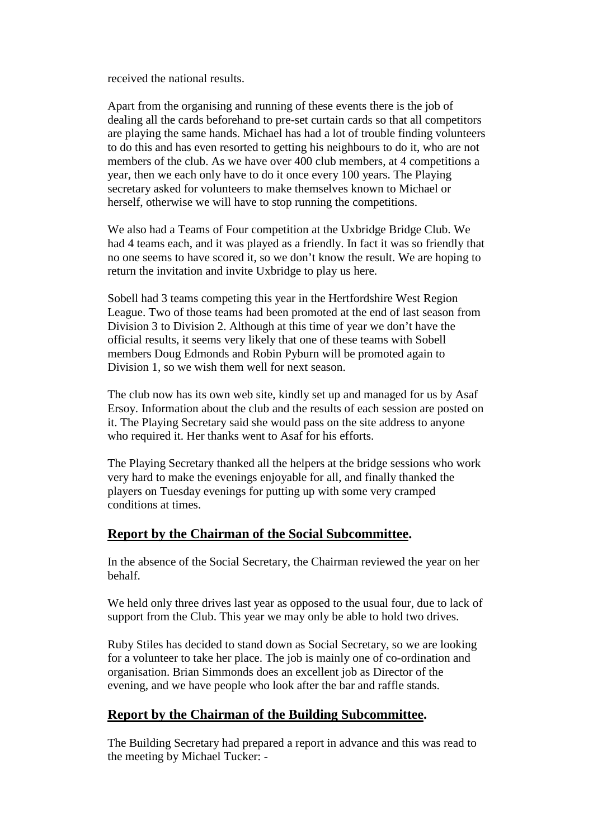received the national results.

Apart from the organising and running of these events there is the job of dealing all the cards beforehand to pre-set curtain cards so that all competitors are playing the same hands. Michael has had a lot of trouble finding volunteers to do this and has even resorted to getting his neighbours to do it, who are not members of the club. As we have over 400 club members, at 4 competitions a year, then we each only have to do it once every 100 years. The Playing secretary asked for volunteers to make themselves known to Michael or herself, otherwise we will have to stop running the competitions.

We also had a Teams of Four competition at the Uxbridge Bridge Club. We had 4 teams each, and it was played as a friendly. In fact it was so friendly that no one seems to have scored it, so we don't know the result. We are hoping to return the invitation and invite Uxbridge to play us here.

Sobell had 3 teams competing this year in the Hertfordshire West Region League. Two of those teams had been promoted at the end of last season from Division 3 to Division 2. Although at this time of year we don't have the official results, it seems very likely that one of these teams with Sobell members Doug Edmonds and Robin Pyburn will be promoted again to Division 1, so we wish them well for next season.

The club now has its own web site, kindly set up and managed for us by Asaf Ersoy. Information about the club and the results of each session are posted on it. The Playing Secretary said she would pass on the site address to anyone who required it. Her thanks went to Asaf for his efforts.

The Playing Secretary thanked all the helpers at the bridge sessions who work very hard to make the evenings enjoyable for all, and finally thanked the players on Tuesday evenings for putting up with some very cramped conditions at times.

### **Report by the Chairman of the Social Subcommittee.**

In the absence of the Social Secretary, the Chairman reviewed the year on her behalf.

We held only three drives last year as opposed to the usual four, due to lack of support from the Club. This year we may only be able to hold two drives.

Ruby Stiles has decided to stand down as Social Secretary, so we are looking for a volunteer to take her place. The job is mainly one of co-ordination and organisation. Brian Simmonds does an excellent job as Director of the evening, and we have people who look after the bar and raffle stands.

# **Report by the Chairman of the Building Subcommittee.**

The Building Secretary had prepared a report in advance and this was read to the meeting by Michael Tucker: -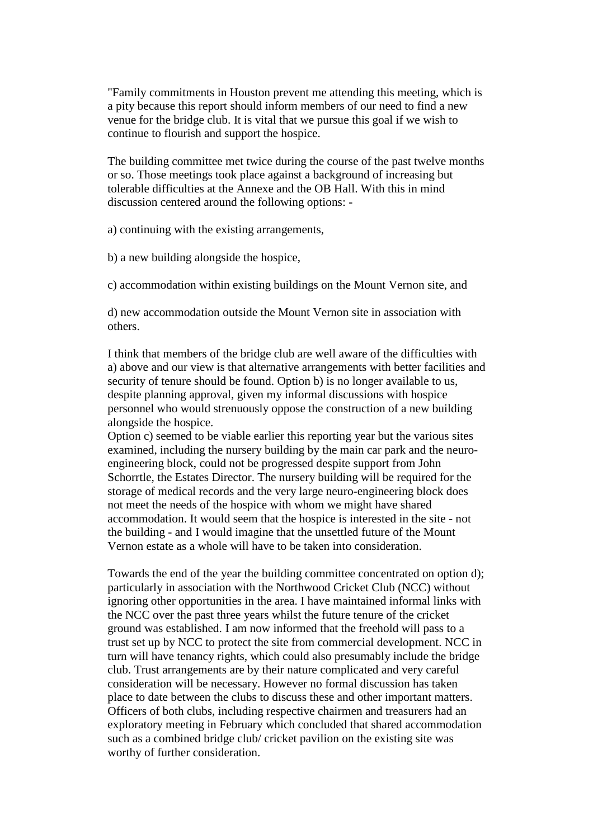"Family commitments in Houston prevent me attending this meeting, which is a pity because this report should inform members of our need to find a new venue for the bridge club. It is vital that we pursue this goal if we wish to continue to flourish and support the hospice.

The building committee met twice during the course of the past twelve months or so. Those meetings took place against a background of increasing but tolerable difficulties at the Annexe and the OB Hall. With this in mind discussion centered around the following options: -

a) continuing with the existing arrangements,

b) a new building alongside the hospice,

c) accommodation within existing buildings on the Mount Vernon site, and

d) new accommodation outside the Mount Vernon site in association with others.

I think that members of the bridge club are well aware of the difficulties with a) above and our view is that alternative arrangements with better facilities and security of tenure should be found. Option b) is no longer available to us, despite planning approval, given my informal discussions with hospice personnel who would strenuously oppose the construction of a new building alongside the hospice.

Option c) seemed to be viable earlier this reporting year but the various sites examined, including the nursery building by the main car park and the neuroengineering block, could not be progressed despite support from John Schorrtle, the Estates Director. The nursery building will be required for the storage of medical records and the very large neuro-engineering block does not meet the needs of the hospice with whom we might have shared accommodation. It would seem that the hospice is interested in the site - not the building - and I would imagine that the unsettled future of the Mount Vernon estate as a whole will have to be taken into consideration.

Towards the end of the year the building committee concentrated on option d); particularly in association with the Northwood Cricket Club (NCC) without ignoring other opportunities in the area. I have maintained informal links with the NCC over the past three years whilst the future tenure of the cricket ground was established. I am now informed that the freehold will pass to a trust set up by NCC to protect the site from commercial development. NCC in turn will have tenancy rights, which could also presumably include the bridge club. Trust arrangements are by their nature complicated and very careful consideration will be necessary. However no formal discussion has taken place to date between the clubs to discuss these and other important matters. Officers of both clubs, including respective chairmen and treasurers had an exploratory meeting in February which concluded that shared accommodation such as a combined bridge club/ cricket pavilion on the existing site was worthy of further consideration.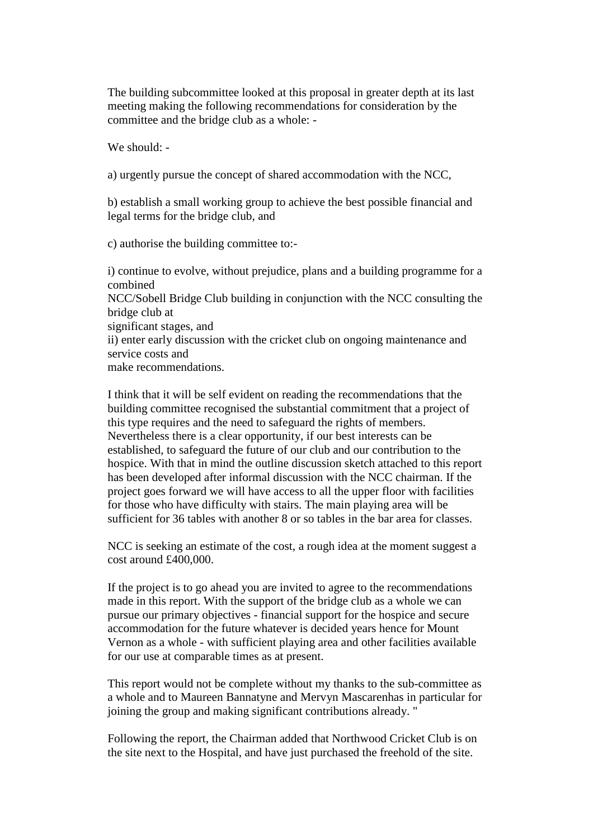The building subcommittee looked at this proposal in greater depth at its last meeting making the following recommendations for consideration by the committee and the bridge club as a whole: -

We should: -

a) urgently pursue the concept of shared accommodation with the NCC,

b) establish a small working group to achieve the best possible financial and legal terms for the bridge club, and

c) authorise the building committee to:-

i) continue to evolve, without prejudice, plans and a building programme for a combined NCC/Sobell Bridge Club building in conjunction with the NCC consulting the bridge club at significant stages, and ii) enter early discussion with the cricket club on ongoing maintenance and service costs and make recommendations.

I think that it will be self evident on reading the recommendations that the building committee recognised the substantial commitment that a project of this type requires and the need to safeguard the rights of members. Nevertheless there is a clear opportunity, if our best interests can be established, to safeguard the future of our club and our contribution to the hospice. With that in mind the outline discussion sketch attached to this report has been developed after informal discussion with the NCC chairman. If the project goes forward we will have access to all the upper floor with facilities for those who have difficulty with stairs. The main playing area will be sufficient for 36 tables with another 8 or so tables in the bar area for classes.

NCC is seeking an estimate of the cost, a rough idea at the moment suggest a cost around £400,000.

If the project is to go ahead you are invited to agree to the recommendations made in this report. With the support of the bridge club as a whole we can pursue our primary objectives - financial support for the hospice and secure accommodation for the future whatever is decided years hence for Mount Vernon as a whole - with sufficient playing area and other facilities available for our use at comparable times as at present.

This report would not be complete without my thanks to the sub-committee as a whole and to Maureen Bannatyne and Mervyn Mascarenhas in particular for joining the group and making significant contributions already. "

Following the report, the Chairman added that Northwood Cricket Club is on the site next to the Hospital, and have just purchased the freehold of the site.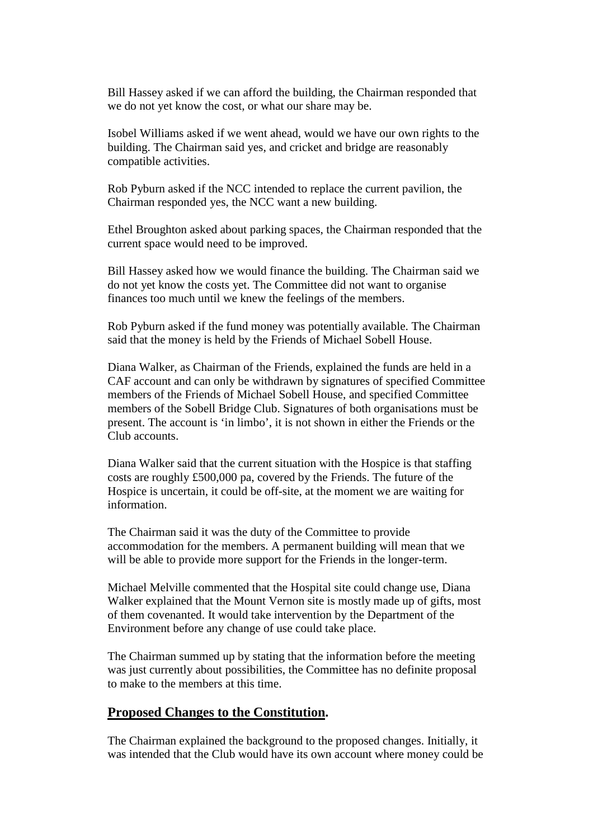Bill Hassey asked if we can afford the building, the Chairman responded that we do not yet know the cost, or what our share may be.

Isobel Williams asked if we went ahead, would we have our own rights to the building. The Chairman said yes, and cricket and bridge are reasonably compatible activities.

Rob Pyburn asked if the NCC intended to replace the current pavilion, the Chairman responded yes, the NCC want a new building.

Ethel Broughton asked about parking spaces, the Chairman responded that the current space would need to be improved.

Bill Hassey asked how we would finance the building. The Chairman said we do not yet know the costs yet. The Committee did not want to organise finances too much until we knew the feelings of the members.

Rob Pyburn asked if the fund money was potentially available. The Chairman said that the money is held by the Friends of Michael Sobell House.

Diana Walker, as Chairman of the Friends, explained the funds are held in a CAF account and can only be withdrawn by signatures of specified Committee members of the Friends of Michael Sobell House, and specified Committee members of the Sobell Bridge Club. Signatures of both organisations must be present. The account is 'in limbo', it is not shown in either the Friends or the Club accounts.

Diana Walker said that the current situation with the Hospice is that staffing costs are roughly £500,000 pa, covered by the Friends. The future of the Hospice is uncertain, it could be off-site, at the moment we are waiting for information.

The Chairman said it was the duty of the Committee to provide accommodation for the members. A permanent building will mean that we will be able to provide more support for the Friends in the longer-term.

Michael Melville commented that the Hospital site could change use, Diana Walker explained that the Mount Vernon site is mostly made up of gifts, most of them covenanted. It would take intervention by the Department of the Environment before any change of use could take place.

The Chairman summed up by stating that the information before the meeting was just currently about possibilities, the Committee has no definite proposal to make to the members at this time.

#### **Proposed Changes to the Constitution.**

The Chairman explained the background to the proposed changes. Initially, it was intended that the Club would have its own account where money could be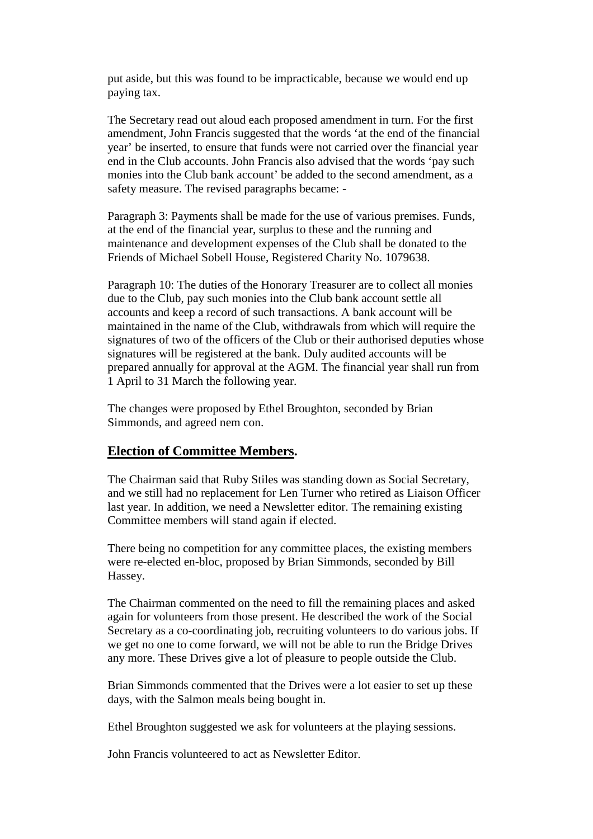put aside, but this was found to be impracticable, because we would end up paying tax.

The Secretary read out aloud each proposed amendment in turn. For the first amendment, John Francis suggested that the words 'at the end of the financial year' be inserted, to ensure that funds were not carried over the financial year end in the Club accounts. John Francis also advised that the words 'pay such monies into the Club bank account' be added to the second amendment, as a safety measure. The revised paragraphs became: -

Paragraph 3: Payments shall be made for the use of various premises. Funds, at the end of the financial year, surplus to these and the running and maintenance and development expenses of the Club shall be donated to the Friends of Michael Sobell House, Registered Charity No. 1079638.

Paragraph 10: The duties of the Honorary Treasurer are to collect all monies due to the Club, pay such monies into the Club bank account settle all accounts and keep a record of such transactions. A bank account will be maintained in the name of the Club, withdrawals from which will require the signatures of two of the officers of the Club or their authorised deputies whose signatures will be registered at the bank. Duly audited accounts will be prepared annually for approval at the AGM. The financial year shall run from 1 April to 31 March the following year.

The changes were proposed by Ethel Broughton, seconded by Brian Simmonds, and agreed nem con.

### **Election of Committee Members.**

The Chairman said that Ruby Stiles was standing down as Social Secretary, and we still had no replacement for Len Turner who retired as Liaison Officer last year. In addition, we need a Newsletter editor. The remaining existing Committee members will stand again if elected.

There being no competition for any committee places, the existing members were re-elected en-bloc, proposed by Brian Simmonds, seconded by Bill Hassey.

The Chairman commented on the need to fill the remaining places and asked again for volunteers from those present. He described the work of the Social Secretary as a co-coordinating job, recruiting volunteers to do various jobs. If we get no one to come forward, we will not be able to run the Bridge Drives any more. These Drives give a lot of pleasure to people outside the Club.

Brian Simmonds commented that the Drives were a lot easier to set up these days, with the Salmon meals being bought in.

Ethel Broughton suggested we ask for volunteers at the playing sessions.

John Francis volunteered to act as Newsletter Editor.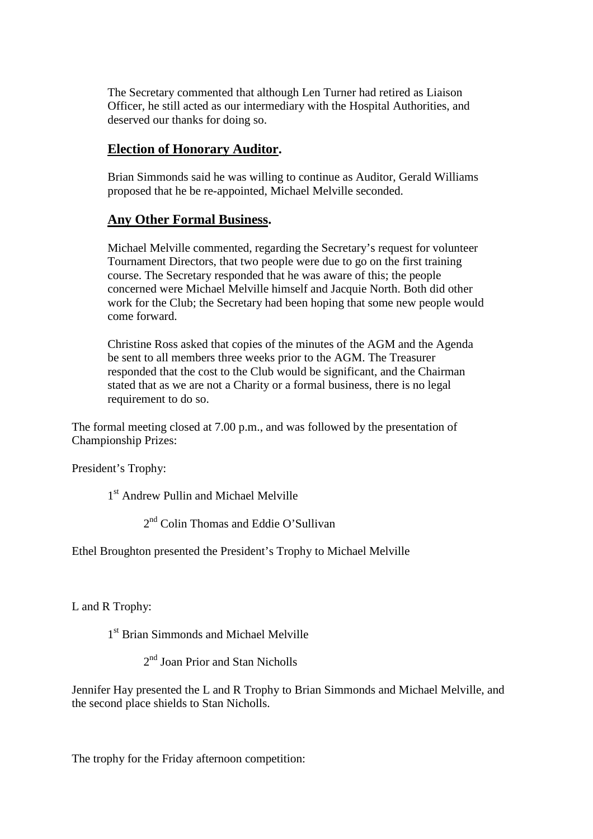The Secretary commented that although Len Turner had retired as Liaison Officer, he still acted as our intermediary with the Hospital Authorities, and deserved our thanks for doing so.

# **Election of Honorary Auditor.**

Brian Simmonds said he was willing to continue as Auditor, Gerald Williams proposed that he be re-appointed, Michael Melville seconded.

# **Any Other Formal Business.**

Michael Melville commented, regarding the Secretary's request for volunteer Tournament Directors, that two people were due to go on the first training course. The Secretary responded that he was aware of this; the people concerned were Michael Melville himself and Jacquie North. Both did other work for the Club; the Secretary had been hoping that some new people would come forward.

Christine Ross asked that copies of the minutes of the AGM and the Agenda be sent to all members three weeks prior to the AGM. The Treasurer responded that the cost to the Club would be significant, and the Chairman stated that as we are not a Charity or a formal business, there is no legal requirement to do so.

The formal meeting closed at 7.00 p.m., and was followed by the presentation of Championship Prizes:

President's Trophy:

1<sup>st</sup> Andrew Pullin and Michael Melville

2<sup>nd</sup> Colin Thomas and Eddie O'Sullivan

Ethel Broughton presented the President's Trophy to Michael Melville

L and R Trophy:

1<sup>st</sup> Brian Simmonds and Michael Melville

2<sup>nd</sup> Joan Prior and Stan Nicholls

Jennifer Hay presented the L and R Trophy to Brian Simmonds and Michael Melville, and the second place shields to Stan Nicholls.

The trophy for the Friday afternoon competition: